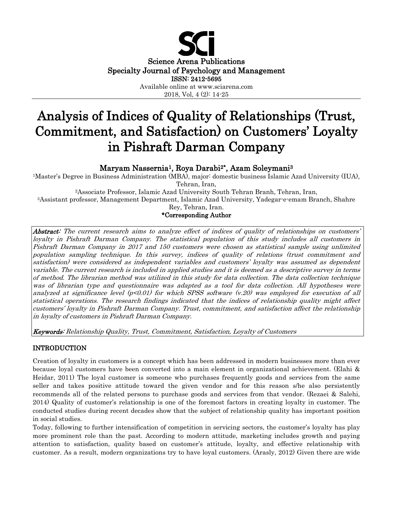

# Analysis of Indices of Quality of Relationships (Trust, Commitment, and Satisfaction) on Customers' Loyalty in Pishraft Darman Company

Maryam Nassernia1, Roya Darabi2\*, Azam Soleymani3

1Master's Degree in Business Administration (MBA), major: domestic business Islamic Azad University (IUA), Tehran, Iran,

2Associate Professor, Islamic Azad University South Tehran Branh, Tehran, Iran, 3Assistant professor, Management Department, Islamic Azad University, Yadegar-e-emam Branch, Shahre Rey, Tehran, Iran.

\*Corresponding Author

Abstract: The current research aims to analyze effect of indices of quality of relationships on customers' loyalty in Pishraft Darman Company. The statistical population of this study includes all customers in Pishraft Darman Company in 2017 and 150 customers were chosen as statistical sample using unlimited population sampling technique. In this survey, indices of quality of relations (trust commitment and satisfaction) were considered as independent variables and customers' loyalty was assumed as dependent variable. The current research is included in applied studies and it is deemed as a descriptive survey in terms of method. The librarian method was utilized in this study for data collection. The data collection technique was of librarian type and questionnaire was adapted as a tool for data collection. All hypotheses were analyzed at significance level  $(p<0.01)$  for which SPSS software  $(v.20)$  was employed for execution of all statistical operations. The research findings indicated that the indices of relationship quality might affect customers' loyalty in Pishraft Darman Company. Trust, commitment, and satisfaction affect the relationship in loyalty of customers in Pishraft Darman Company.

Keywords: Relationship Quality, Trust, Commitment, Satisfaction, Loyalty of Customers

# INTRODUCTION

Creation of loyalty in customers is a concept which has been addressed in modern businesses more than ever because loyal customers have been converted into a main element in organizational achievement. (Elahi & Heidar, 2011) The loyal customer is someone who purchases frequently goods and services from the same seller and takes positive attitude toward the given vendor and for this reason s/he also persistently recommends all of the related persons to purchase goods and services from that vendor. (Rezaei & Salehi, 2014) Quality of customer's relationship is one of the foremost factors in creating loyalty in customer. The conducted studies during recent decades show that the subject of relationship quality has important position in social studies.

Today, following to further intensification of competition in servicing sectors, the customer's loyalty has play more prominent role than the past. According to modern attitude, marketing includes growth and paying attention to satisfaction, quality based on customer's attitude, loyalty, and effective relationship with customer. As a result, modern organizations try to have loyal customers. (Arasly, 2012) Given there are wide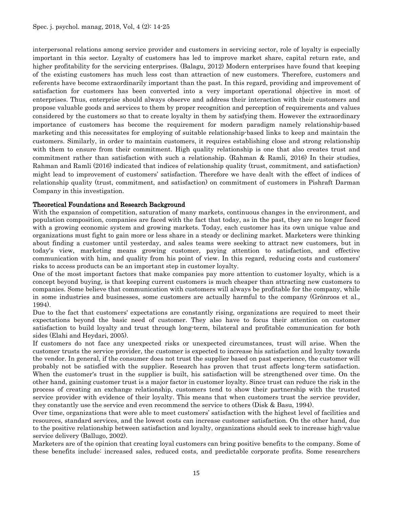interpersonal relations among service provider and customers in servicing sector, role of loyalty is especially important in this sector. Loyalty of customers has led to improve market share, capital return rate, and higher profitability for the servicing enterprises. (Balagu, 2012) Modern enterprises have found that keeping of the existing customers has much less cost than attraction of new customers. Therefore, customers and referents have become extraordinarily important than the past. In this regard, providing and improvement of satisfaction for customers has been converted into a very important operational objective in most of enterprises. Thus, enterprise should always observe and address their interaction with their customers and propose valuable goods and services to them by proper recognition and perception of requirements and values considered by the customers so that to create loyalty in them by satisfying them. However the extraordinary importance of customers has become the requirement for modern paradigm namely relationship-based marketing and this necessitates for employing of suitable relationship-based links to keep and maintain the customers. Similarly, in order to maintain customers, it requires establishing close and strong relationship with them to ensure from their commitment. High quality relationship is one that also creates trust and commitment rather than satisfaction with such a relationship. (Rahman & Ramli, 2016) In their studies, Rahman and Ramli (2016) indicated that indices of relationship quality (trust, commitment, and satisfaction) might lead to improvement of customers' satisfaction. Therefore we have dealt with the effect of indices of relationship quality (trust, commitment, and satisfaction) on commitment of customers in Pishraft Darman Company in this investigation.

#### Theoretical Foundations and Research Background

With the expansion of competition, saturation of many markets, continuous changes in the environment, and population composition, companies are faced with the fact that today, as in the past, they are no longer faced with a growing economic system and growing markets. Today, each customer has its own unique value and organizations must fight to gain more or less share in a steady or declining market. Marketers were thinking about finding a customer until yesterday, and sales teams were seeking to attract new customers, but in today's view, marketing means growing customer, paying attention to satisfaction, and effective communication with him, and quality from his point of view. In this regard, reducing costs and customers' risks to access products can be an important step in customer loyalty.

One of the most important factors that make companies pay more attention to customer loyalty, which is a concept beyond buying, is that keeping current customers is much cheaper than attracting new customers to companies. Some believe that communication with customers will always be profitable for the company, while in some industries and businesses, some customers are actually harmful to the company (Grönroos et al., 1994).

Due to the fact that customers' expectations are constantly rising, organizations are required to meet their expectations beyond the basic need of customer. They also have to focus their attention on customer satisfaction to build loyalty and trust through long-term, bilateral and profitable communication for both sides (Elahi and Heydari, 2005).

If customers do not face any unexpected risks or unexpected circumstances, trust will arise. When the customer trusts the service provider, the customer is expected to increase his satisfaction and loyalty towards the vendor. In general, if the consumer does not trust the supplier based on past experience, the customer will probably not be satisfied with the supplier. Research has proven that trust affects long-term satisfaction. When the customer's trust in the supplier is built, his satisfaction will be strengthened over time. On the other hand, gaining customer trust is a major factor in customer loyalty. Since trust can reduce the risk in the process of creating an exchange relationship, customers tend to show their partnership with the trusted service provider with evidence of their loyalty. This means that when customers trust the service provider, they constantly use the service and even recommend the service to others (Disk & Basu, 1994).

Over time, organizations that were able to meet customers' satisfaction with the highest level of facilities and resources, standard services, and the lowest costs can increase customer satisfaction. On the other hand, due to the positive relationship between satisfaction and loyalty, organizations should seek to increase high-value service delivery (Ballugo, 2002).

Marketers are of the opinion that creating loyal customers can bring positive benefits to the company. Some of these benefits include: increased sales, reduced costs, and predictable corporate profits. Some researchers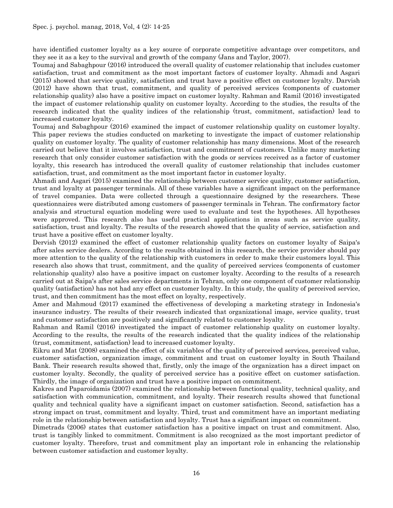have identified customer loyalty as a key source of corporate competitive advantage over competitors, and they see it as a key to the survival and growth of the company (Jans and Taylor, 2007).

Toumaj and Sabaghpour (2016) introduced the overall quality of customer relationship that includes customer satisfaction, trust and commitment as the most important factors of customer loyalty. Ahmadi and Asgari (2015) showed that service quality, satisfaction and trust have a positive effect on customer loyalty. Darvish (2012) have shown that trust, commitment, and quality of perceived services (components of customer relationship quality) also have a positive impact on customer loyalty. Rahman and Ramil (2016) investigated the impact of customer relationship quality on customer loyalty. According to the studies, the results of the research indicated that the quality indices of the relationship (trust, commitment, satisfaction) lead to increased customer loyalty.

Toumaj and Sabaghpour (2016) examined the impact of customer relationship quality on customer loyalty. This paper reviews the studies conducted on marketing to investigate the impact of customer relationship quality on customer loyalty. The quality of customer relationship has many dimensions. Most of the research carried out believe that it involves satisfaction, trust and commitment of customers. Unlike many marketing research that only consider customer satisfaction with the goods or services received as a factor of customer loyalty, this research has introduced the overall quality of customer relationship that includes customer satisfaction, trust, and commitment as the most important factor in customer loyalty.

Ahmadi and Asgari (2015) examined the relationship between customer service quality, customer satisfaction, trust and loyalty at passenger terminals. All of these variables have a significant impact on the performance of travel companies. Data were collected through a questionnaire designed by the researchers. These questionnaires were distributed among customers of passenger terminals in Tehran. The confirmatory factor analysis and structural equation modeling were used to evaluate and test the hypotheses. All hypotheses were approved. This research also has useful practical applications in areas such as service quality, satisfaction, trust and loyalty. The results of the research showed that the quality of service, satisfaction and trust have a positive effect on customer loyalty.

Dervish (2012) examined the effect of customer relationship quality factors on customer loyalty of Saipa's after sales service dealers. According to the results obtained in this research, the service provider should pay more attention to the quality of the relationship with customers in order to make their customers loyal. This research also shows that trust, commitment, and the quality of perceived services (components of customer relationship quality) also have a positive impact on customer loyalty. According to the results of a research carried out at Saipa's after sales service departments in Tehran, only one component of customer relationship quality (satisfaction) has not had any effect on customer loyalty. In this study, the quality of perceived service, trust, and then commitment has the most effect on loyalty, respectively.

Amer and Mahmoud (2017) examined the effectiveness of developing a marketing strategy in Indonesia's insurance industry. The results of their research indicated that organizational image, service quality, trust and customer satisfaction are positively and significantly related to customer loyalty.

Rahman and Ramil (2016) investigated the impact of customer relationship quality on customer loyalty. According to the results, the results of the research indicated that the quality indices of the relationship (trust, commitment, satisfaction) lead to increased customer loyalty.

Eikru and Mat (2008) examined the effect of six variables of the quality of perceived services, perceived value, customer satisfaction, organization image, commitment and trust on customer loyalty in South Thailand Bank. Their research results showed that, firstly, only the image of the organization has a direct impact on customer loyalty. Secondly, the quality of perceived service has a positive effect on customer satisfaction. Thirdly, the image of organization and trust have a positive impact on commitment.

Kakres and Paparoidamis (2007) examined the relationship between functional quality, technical quality, and satisfaction with communication, commitment, and loyalty. Their research results showed that functional quality and technical quality have a significant impact on customer satisfaction. Second, satisfaction has a strong impact on trust, commitment and loyalty. Third, trust and commitment have an important mediating role in the relationship between satisfaction and loyalty. Trust has a significant impact on commitment.

Dimetrads (2006) states that customer satisfaction has a positive impact on trust and commitment. Also, trust is tangibly linked to commitment. Commitment is also recognized as the most important predictor of customer loyalty. Therefore, trust and commitment play an important role in enhancing the relationship between customer satisfaction and customer loyalty.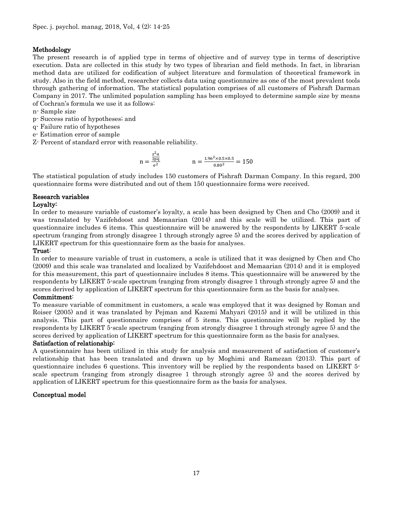# Methodology

The present research is of applied type in terms of objective and of survey type in terms of descriptive execution. Data are collected in this study by two types of librarian and field methods. In fact, in librarian method data are utilized for codification of subject literature and formulation of theoretical framework in study. Also in the field method, researcher collects data using questionnaire as one of the most prevalent tools through gathering of information. The statistical population comprises of all customers of Pishraft Darman Company in 2017. The unlimited population sampling has been employed to determine sample size by means of Cochran's formula we use it as follows:

- n- Sample size
- p- Success ratio of hypotheses; and
- q- Failure ratio of hypotheses
- e- Estimation error of sample
- Z- Percent of standard error with reasonable reliability.

$$
n = \frac{\frac{z^2 \alpha}{2pq}}{e^2} \qquad \qquad n = \frac{1.96^2 \times 0.5 \times 0.5}{0.80^2} = 150
$$

The statistical population of study includes 150 customers of Pishraft Darman Company. In this regard, 200 questionnaire forms were distributed and out of them 150 questionnaire forms were received.

# Research variables

# Loyalty:

In order to measure variable of customer's loyalty, a scale has been designed by Chen and Cho (2009) and it was translated by Vazifehdoost and Memaarian (2014) and this scale will be utilized. This part of questionnaire includes 6 items. This questionnaire will be answered by the respondents by LIKERT 5-scale spectrum (ranging from strongly disagree 1 through strongly agree 5) and the scores derived by application of LIKERT spectrum for this questionnaire form as the basis for analyses.

# Trust:

In order to measure variable of trust in customers, a scale is utilized that it was designed by Chen and Cho (2009) and this scale was translated and localized by Vazifehdoost and Memaarian (2014) and it is employed for this measurement, this part of questionnaire includes 8 items. This questionnaire will be answered by the respondents by LIKERT 5-scale spectrum (ranging from strongly disagree 1 through strongly agree 5) and the scores derived by application of LIKERT spectrum for this questionnaire form as the basis for analyses.

#### Commitment:

To measure variable of commitment in customers, a scale was employed that it was designed by Roman and Roiser (2005) and it was translated by Pejman and Kazemi Mahyari (2015) and it will be utilized in this analysis. This part of questionnaire comprises of 5 items. This questionnaire will be replied by the respondents by LIKERT 5-scale spectrum (ranging from strongly disagree 1 through strongly agree 5) and the scores derived by application of LIKERT spectrum for this questionnaire form as the basis for analyses.

#### Satisfaction of relationship:

A questionnaire has been utilized in this study for analysis and measurement of satisfaction of customer's relationship that has been translated and drawn up by Moghimi and Ramezan (2013). This part of questionnaire includes 6 questions. This inventory will be replied by the respondents based on LIKERT 5 scale spectrum (ranging from strongly disagree 1 through strongly agree 5) and the scores derived by application of LIKERT spectrum for this questionnaire form as the basis for analyses.

#### Conceptual model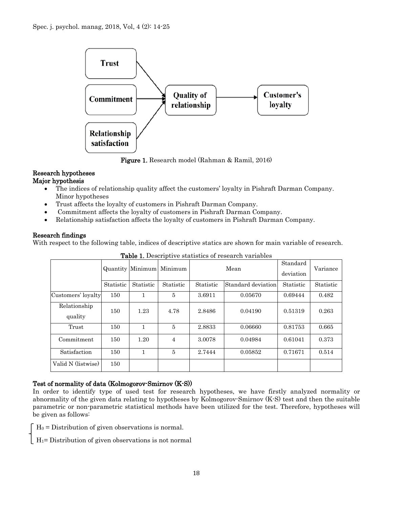

Figure 1. Research model (Rahman & Ramil, 2016)

#### Research hypotheses Major hypothesis

- The indices of relationship quality affect the customers' loyalty in Pishraft Darman Company. Minor hypotheses
- Trust affects the loyalty of customers in Pishraft Darman Company.
- Commitment affects the loyalty of customers in Pishraft Darman Company.
- Relationship satisfaction affects the loyalty of customers in Pishraft Darman Company.

# Research findings

With respect to the following table, indices of descriptive statics are shown for main variable of research.

| <b>Table 1:</b> Describerve statistics of research variables |           |           |                          |           |                    |                       |           |
|--------------------------------------------------------------|-----------|-----------|--------------------------|-----------|--------------------|-----------------------|-----------|
|                                                              |           |           | Quantity Minimum Minimum |           | Mean               | Standard<br>deviation | Variance  |
|                                                              | Statistic | Statistic | Statistic                | Statistic | Standard deviation | Statistic             | Statistic |
| Customers' loyalty                                           | 150       |           | $\overline{5}$           | 3.6911    | 0.05670            | 0.69444               | 0.482     |
| Relationship<br>quality                                      | 150       | 1.23      | 4.78                     | 2.8486    | 0.04190            | 0.51319               | 0.263     |
| Trust                                                        | 150       | 1         | 5                        | 2.8833    | 0.06660            | 0.81753               | 0.665     |
| Commitment                                                   | 150       | 1.20      | $\overline{4}$           | 3.0078    | 0.04984            | 0.61041               | 0.373     |
| Satisfaction                                                 | 150       |           | 5                        | 2.7444    | 0.05852            | 0.71671               | 0.514     |
| Valid N (listwise)                                           | 150       |           |                          |           |                    |                       |           |

Table 1. Descriptive statistics of research variables

# Test of normality of data (Kolmogorov-Smirnov (K-S))

In order to identify type of used test for research hypotheses, we have firstly analyzed normality or abnormality of the given data relating to hypotheses by Kolmogorov-Smirnov (K-S) test and then the suitable parametric or non-parametric statistical methods have been utilized for the test. Therefore, hypotheses will be given as follows:

 $H_0 =$  Distribution of given observations is normal.

 $H_1$ = Distribution of given observations is not normal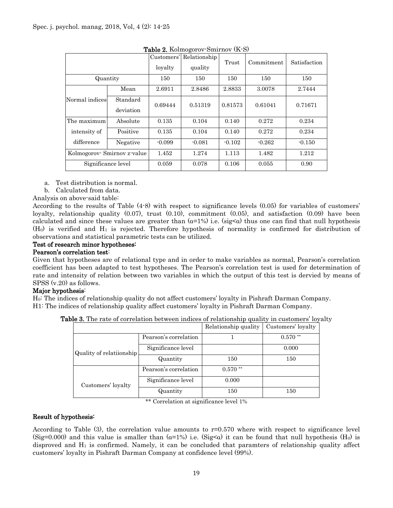|                            |                       | Customers'<br>lovalty | Relationship<br>quality | Trust    | Commitment | Satisfaction |
|----------------------------|-----------------------|-----------------------|-------------------------|----------|------------|--------------|
| Quantity                   |                       | 150                   | 150                     | 150      | 150        | 150          |
|                            | Mean                  | 2.6911                | 2.8486                  | 2.8833   | 3.0078     | 2.7444       |
| Normal indices             | Standard<br>deviation | 0.69444               | 0.51319                 | 0.81573  | 0.61041    | 0.71671      |
| The maximum                | Absolute              | 0.135                 | 0.104                   | 0.140    | 0.272      | 0.234        |
| intensity of               | Positive              | 0.135                 | 0.104                   | 0.140    | 0.272      | 0.234        |
| difference                 | Negative              | $-0.099$              | $-0.081$                | $-0.102$ | $-0.262$   | $-0.150$     |
| Kolmogorov Smirnov z value |                       | 1.452                 | 1.274                   | 1.113    | 1.482      | 1.212        |
| Significance level         |                       | 0.059                 | 0.078                   | 0.106    | 0.055      | 0.90         |

Table 2. Kolmogorov-Smirnov (K-S)

- a. Test distribution is normal.
- b. Calculated from data.
- Analysis on above-said table:

According to the results of Table (4-8) with respect to significance levels (0.05) for variables of customers' loyalty, relationship quality (0.07), trust (0.10), commitment (0.05), and satisfaction (0.09) have been calculated and since these values are greater than  $(a=1\%)$  i.e. (sig<a) thus one can find that null hypothesis  $(H<sub>0</sub>)$  is verified and  $H<sub>1</sub>$  is rejected. Therefore hypothesis of normality is confirmed for distribution of observations and statistical parametric tests can be utilized.

#### Test of research minor hypotheses:

#### Pearson's correlation test:

Given that hypotheses are of relational type and in order to make variables as normal, Pearson's correlation coefficient has been adapted to test hypotheses. The Pearson's correlation test is used for determination of rate and intensity of relation between two variables in which the output of this test is dervied by means of SPSS (v.20) as follows.

#### Major hypothesis:

H0: The indices of relationship quality do not affect customers' loyalty in Pishraft Darman Company. H1: The indices of relationship quality affect customers' loyalty in Pishraft Darman Company.

|                          |                       | Relationship quality | Customers' loyalty |
|--------------------------|-----------------------|----------------------|--------------------|
|                          | Pearson's correlation |                      | $0.570$ **         |
| Quality of relatiionship | Significance level    |                      | 0.000              |
|                          | Quantity              | 150                  | 150                |
|                          | Pearson's correlation | $0.570**$            |                    |
| Customers' loyalty       | Significance level    | 0.000                |                    |
|                          | Quantity              | 150                  | 150                |

Table 3. The rate of correlation between indices of relationship quality in customers' loyalty

\*\* Correlation at significance level 1%

#### Result of hypothesis:

According to Table (3), the correlation value amounts to r=0.570 where with respect to significance level (Sig=0.000) and this value is smaller than  $(a=1%)$  i.e. (Sig<a) it can be found that null hypothesis (H<sub>0</sub>) is disproved and  $H_1$  is confirmed. Namely, it can be concluded that paramters of relationship quality affect customers' loyalty in Pishraft Darman Company at confidence level (99%).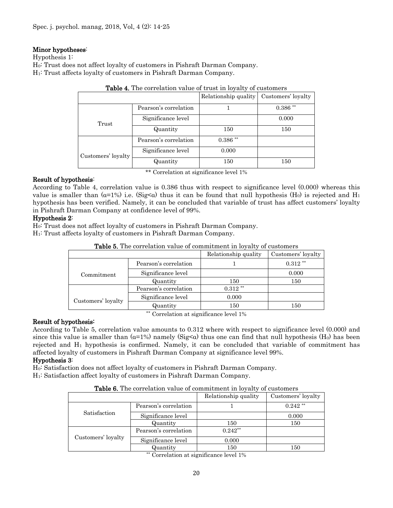#### Minor hypotheses:

Hypothesis 1:

H0: Trust does not affect loyalty of customers in Pishraft Darman Company.

H1: Trust affects loyalty of customers in Pishraft Darman Company.

|                    | <b>Table 4.</b> The correlation value of trust in loyalty of customers |                      |                    |  |  |  |
|--------------------|------------------------------------------------------------------------|----------------------|--------------------|--|--|--|
|                    |                                                                        | Relationship quality | Customers' loyalty |  |  |  |
|                    | Pearson's correlation                                                  |                      | $0.386**$          |  |  |  |
| Trust              | Significance level                                                     |                      | 0.000              |  |  |  |
|                    | Quantity                                                               | 150                  | 150                |  |  |  |
|                    | Pearson's correlation                                                  | $0.386**$            |                    |  |  |  |
| Customers' loyalty | Significance level                                                     | 0.000                |                    |  |  |  |
|                    | Quantity                                                               | 150                  | 150                |  |  |  |

| Table 4. The correlation value of trust in loyalty of customers |  |
|-----------------------------------------------------------------|--|
|-----------------------------------------------------------------|--|

\*\* Correlation at significance level 1%

# Result of hypothesis:

According to Table 4, correlation value is 0.386 thus with respect to significance level (0.000) whereas this value is smaller than  $(a=1\%)$  i.e.  $(Sig<\alpha)$  thus it can be found that null hypothesis  $(H_0)$  is rejected and  $H_1$ hypothesis has been verified. Namely, it can be concluded that variable of trust has affect customers' loyalty in Pishraft Darman Company at confidence level of 99%.

# Hypothesis 2:

H0: Trust does not affect loyalty of customers in Pishraft Darman Company.

H1: Trust affects loyalty of customers in Pishraft Darman Company.

| <b>Table 5.</b> The correlation value of commitment in loyalty of customers |                       |                      |                    |  |  |
|-----------------------------------------------------------------------------|-----------------------|----------------------|--------------------|--|--|
|                                                                             |                       | Relationship quality | Customers' loyalty |  |  |
|                                                                             | Pearson's correlation |                      | $0.312**$          |  |  |
| Commitment                                                                  | Significance level    |                      | 0.000              |  |  |
|                                                                             | Quantity              | 150                  | 150                |  |  |
|                                                                             | Pearson's correlation | $0.312$ **           |                    |  |  |
| Customers' loyalty                                                          | Significance level    | 0.000                |                    |  |  |
|                                                                             | Quantity              | 150                  | 150                |  |  |

Table 5. The correlation value of commitment in loyalty of customers

\*\* Correlation at significance level 1%

# Result of hypothesis:

According to Table 5, correlation value amounts to 0.312 where with respect to significance level (0.000) and since this value is smaller than  $(a=1\%)$  namely  $(Sig<\alpha)$  thus one can find that null hypothesis  $(H_0)$  has been rejected and  $H_1$  hypothesis is confirmed. Namely, it can be concluded that variable of commitment has affected loyalty of customers in Pishraft Darman Company at significance level 99%.

#### Hypothesis 3:

H0: Satisfaction does not affect loyalty of customers in Pishraft Darman Company.

H1: Satisfaction affect loyalty of customers in Pishraft Darman Company.

| Table 6. The correlation value of commitment in loyalty of customers |  |  |  |  |
|----------------------------------------------------------------------|--|--|--|--|
|----------------------------------------------------------------------|--|--|--|--|

|                    |                       | Relationship quality | Customers' loyalty |
|--------------------|-----------------------|----------------------|--------------------|
|                    | Pearson's correlation |                      | $0.242$ **         |
| Satisfaction       | Significance level    |                      | 0.000              |
|                    | Quantity              | 150                  | 150                |
|                    | Pearson's correlation | $0.242**$            |                    |
| Customers' loyalty | Significance level    | 0.000                |                    |
|                    | Quantity              | 150                  | 150                |

\*\* Correlation at significance level 1%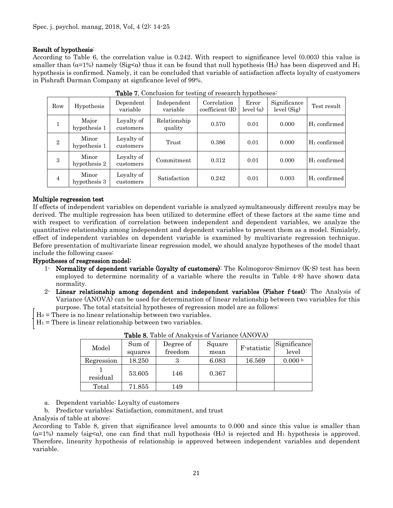#### Result of hypothesis:

According to Table 6, the correlation value is 0.242. With respect to significance level (0.003) this value is smaller than ( $\alpha$ =1%) namely (Sig< $\alpha$ ) thus it can be found that null hypothesis (H<sub>0</sub>) has been disproved and H<sub>1</sub> hypothesis is confirmed. Namely, it can be concluded that variable of satisfaction affects loyalty of custyomers in Pishraft Darman Company at signficance level of 99%.

| Row            | Hypothesis            | Dependent<br>variable   | Independent<br>variable | Correlation<br>coefficient(R) | Error<br>level $(\alpha)$ | Significance<br>level (Sig) | Test result     |
|----------------|-----------------------|-------------------------|-------------------------|-------------------------------|---------------------------|-----------------------------|-----------------|
|                | Major<br>hypothesis 1 | Loyalty of<br>customers | Relationship<br>quality | 0.570                         | 0.01                      | 0.000                       | $H_1$ confirmed |
| $\overline{2}$ | Minor<br>hypothesis 1 | Loyalty of<br>customers | Trust                   | 0.386                         | 0.01                      | 0.000                       | $H_1$ confirmed |
| 3              | Minor<br>hypothesis 2 | Loyalty of<br>customers | Commitment              | 0.312                         | 0.01                      | 0.000                       | $H_1$ confirmed |
| 4              | Minor<br>hypothesis 3 | Loyalty of<br>customers | Satisfaction            | 0.242                         | 0.01                      | 0.003                       | $H_1$ confirmed |

Table 7. Conclusion for testing of research hypotheses:

#### Multiple regression test

If effects of independent variables on dependent variable is analyzed symultaneously different resulys may be derived. The multiple regression has been utilized to determine effect of these factors at the same time and with respect to verification of correlation between independent and dependent variables, we analyze the quantitative relationship among independent and dependent variables to present them as a model. Simialrly, effect of independent variables on dependent variable is examined by multivariate regression technique. Before presentation of multivariate linear regression model, we should analyze hypotheses of the model thaat include the following cases:

#### Hypotheses of resgression model:

- 1- Normality of dependent variable (loyalty of customers): The Kolmogorov-Smirnov (K-S) test has been employed to determine normality of a variable where the results in Table 4-8) have shown data normality.
- 2- Linear relationship among dependent and independent variables (Fisher f-test): The Analysis of Variance (ANOVA) can be used for determination of linear relationship between two variables for this purpose. The total statsitcial hypotheses of regression model are as follows:
- $H_0$  = There is no linear relationship between two variables.
- $H_1$  = There is linear relationship between two variables.

| Model      | Sum of<br>squares | Degree of<br>freedom | Square<br>mean | F-statistic | Significance<br>level |
|------------|-------------------|----------------------|----------------|-------------|-----------------------|
| Regression | 18.250            |                      | 6.083          | 16.569      | 0.000 b               |
| residual   | 53.605            | 146                  | 0.367          |             |                       |
| Total      | 71.855            | 149                  |                |             |                       |

Table 8. Table of Anakysis of Variance (ANOVA)

a. Dependent variable: Loyalty of customers

b. Predictor variables: Satisfaction, commitment, and trust

Analysis of table at above:

According to Table 8, given that significance level amounts to 0.000 and since this value is smaller than  $(a=1%)$  namely (sig<a), one can find that null hypothesis (H<sub>0</sub>) is rejected and H<sub>1</sub> hypothesis is approved. Therefore, linearity hypothesis of relationship is approved between independent variables and dependent variable.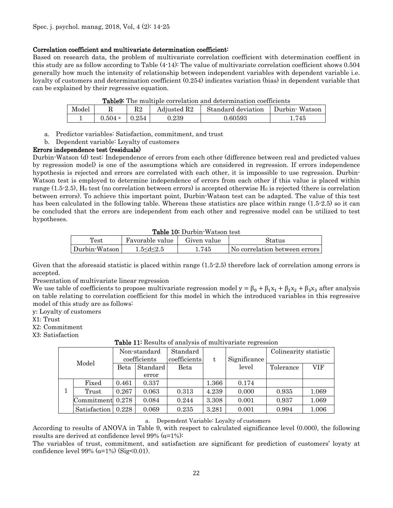#### Correlation coefficient and multivariate determination coefficient:

Based on research data, the problem of multivariate correlation coefficient with determination coeffient in this study are as follow according to Table (4-14): The value of multivariate correlation coefficient shows 0.504 generally how much the intensity of relationship between independent variables with dependent variable i.e. loyalty of customers and determination coefficient (0.254) indicates variation (bias) in dependent variable that can be explained by their regressive equation.

|       | <b>Lables</b> The multiple correlation and determination coemelents |               |                         |                    |                  |  |  |
|-------|---------------------------------------------------------------------|---------------|-------------------------|--------------------|------------------|--|--|
| Model |                                                                     | $\mathrm{R}2$ | Adjusted R <sub>2</sub> | Standard deviation | ∣ Durbin∙ Watson |  |  |
|       | $0.504$ <sup>a</sup>                                                | 0.254         | ).239                   | ${0.60593}$        | .745             |  |  |

Table9: The multiple correlation and determination coefficients

- a. Predictor variables: Satisfaction, commitment, and trust
- b. Dependent variable: Loyalty of customers

#### Errors independence test (residuals)

Durbin-Watson (d) test: Independence of errors from each other (difference between real and predicted values by regression model) is one of the assumptions which are considered in regression. If errors independence hypothesis is rejected and errors are correlated with each other, it is impossible to use regression. Durbin-Watson test is employed to determine independence of errors from each other if this value is placed within range  $(1.5-2.5)$ , H<sub>0</sub> test (no correlation between errors) is accepted otherwise H<sub>0</sub> is rejected (there is correlation between errors). To achieve this important point, Durbin-Watson test can be adapted. The value of this test has been calculated in the following table. Whereas these statistics are place within range (1.5-2.5) so it can be concluded that the errors are independent from each other and regressive model can be utilized to test hypotheses.

Table 10: Durbin-Watson test

| Test          | Favorable value     | Given value | Status                        |  |  |  |
|---------------|---------------------|-------------|-------------------------------|--|--|--|
| Durbin-Watson | $1.5<$ d $\leq$ 2.5 | 1.745       | No correlation between errors |  |  |  |

Given that the aforesaid statistic is placed within range (1.5-2.5) therefore lack of correlation among errors is accepted.

Presentation of multivariate linear regression

We use table of coefficients to propose multivariate regression model  $y = \beta_0 + \beta_1 x_1 + \beta_2 x_2 + \beta_3 x_3$  after analysis on table relating to correlation coefficient for this model in which the introduced variables in this regressive model of this study are as follows:

- y: Loyalty of customers
- X1: Trust

X2: Commitment

X3: Satisfaction

| Model |                  | Non-standard<br>coefficients |          | Standard<br>coefficients | t.    | Significance | Colinearity statistic |       |
|-------|------------------|------------------------------|----------|--------------------------|-------|--------------|-----------------------|-------|
|       |                  | Beta                         | Standard | Beta                     |       | level        | Tolerance             | VIF   |
|       |                  |                              | error    |                          |       |              |                       |       |
|       | Fixed            | 0.461                        | 0.337    |                          | 1.366 | 0.174        |                       |       |
|       | Trust            | 0.267                        | 0.063    | 0.313                    | 4.239 | 0.000        | 0.935                 | 1.069 |
|       | Commitment 0.278 |                              | 0.084    | 0.244                    | 3.308 | 0.001        | 0.937                 | 1.069 |
|       | Satisfaction     | 0.228                        | 0.069    | 0.235                    | 3.281 | 0.001        | 0.994                 | 1.006 |

#### Table 11: Results of analysis of multivariate regression

#### a. Depemdent Variable: Loyalty of customers

According to results of ANOVA in Table 9, with respect to calculated significance level (0.000), the following results are derived at confidence level  $99\%$  ( $\alpha=1\%$ ):

The variables of trust, commitment, and satisfaction are significant for prediction of customers' loyaty at confidence level  $99\%$  ( $\alpha=1\%$ ) (Sig<0.01).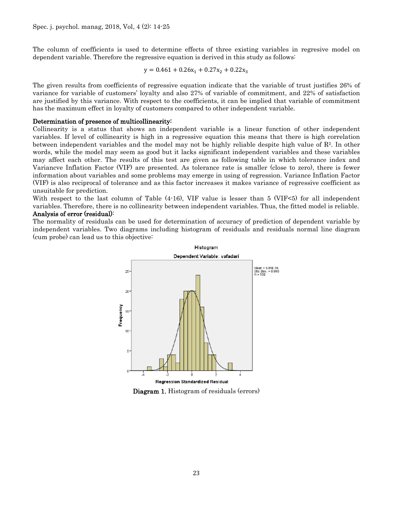The column of coefficients is used to determine effects of three existing variables in regresive model on dependent variable. Therefore the regressive equation is derived in this study as follows:

$$
y = 0.461 + 0.26x_1 + 0.27x_2 + 0.22x_3
$$

The given results from coefficients of regressive equation indicate that the variable of trust justifies 26% of variance for variable of customers' loyalty and also 27% of variable of commitment, and 22% of satisfaction are justified by this variance. With respect to the coefficients, it can be implied that variable of commitment has the maximum effect in loyalty of customers compared to other independent variable.

#### Determination of presence of multicollinearity:

Collinearity is a status that shows an independent variable is a linear function of other independent variables. If level of collinearity is high in a regressive equation this means that there is high correlation between independent variables and the model may not be highly reliable despite high value of  $\mathbb{R}^2$ . In other words, while the model may seem as good but it lacks significant independent variables and these variables may affect each other. The results of this test are given as following table in which tolerance index and Variancve Inflation Factor (VIF) are presented. As tolerance rate is smaller (close to zero), there is fewer information about variables and some problems may emerge in using of regression. Variance Inflation Factor (VIF) is also reciprocal of tolerance and as this factor increases it makes variance of regressive coefficient as unsuitable for prediction.

With respect to the last column of Table  $(4-16)$ , VIF value is lesser than 5 (VIF<5) for all independent variables. Therefore, there is no collinearity between independent variables. Thus, the fitted model is reliable. Analysis of error (residual):

The normality of residuals can be used for determination of accuracy of prediction of dependent variable by independent variables. Two diagrams including histogram of residuals and residuals normal line diagram (cum probe) can lead us to this objective:



Diagram 1. Histogram of residuals (errors)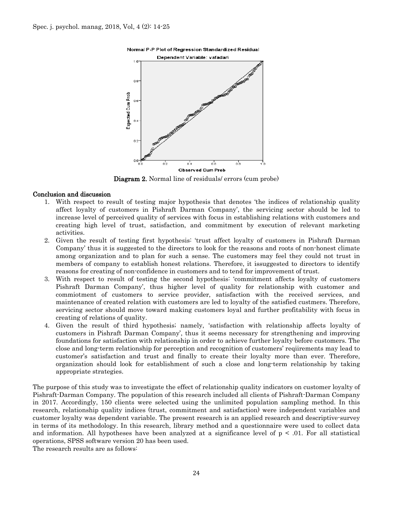



Diagram 2. Normal line of residuals/ errors (cum probe)

#### Conclusion and discussion

- 1. With respect to result of testing major hypothesis that denotes 'the indices of relationship quality affect loyalty of customers in Pishraft Darman Company', the servicing sector should be led to increase level of perceived quality of services with focus in establishing relations with customers and creating high level of trust, satisfaction, and commitment by execution of relevant marketing activities.
- 2. Given the result of testing first hypothesis: 'trust affect loyalty of customers in Pishraft Darman Company' thus it is suggested to the directors to look for the reasons and roots of non-honest climate among organization and to plan for such a sense. The customers may feel they could not trust in members of company to establish honest relations. Therefore, it issuggested to directors to identify reasons for creating of non-confidence in customers and to tend for improvement of trust.
- 3. With respect to result of testing the second hypothesis: 'commitment affects loyalty of customers Pishraft Darman Company', thus higher level of quality for relationship with customer and commiotment of customers to service provider, satisfaction with the received services, and maintenance of created relation with customers are led to loyalty of the satisfied custmers. Therefore, servicing sector should move toward making customers loyal and further profitability with focus in creating of relations of quality.
- 4. Given the result of third hypothesis; namely, 'satisfaction with relationship affects loyalty of customers in Pishraft Darman Company', thus it seems necessary for strengthening and improving foundations for satisfaction with relationship in order to achieve further loyalty before customers. The close and long-term relationship for perception and recognition of customers' reqiirements may lead to customer's satisfaction and trust and finally to create their loyalty more than ever. Therefore, organization should look for establishment of such a close and long-term relationship by taking appropriate strategies.

The purpose of this study was to investigate the effect of relationship quality indicators on customer loyalty of Pishraft-Darman Company. The population of this research included all clients of Pishraft-Darman Company in 2017. Accordingly, 150 clients were selected using the unlimited population sampling method. In this research, relationship quality indices (trust, commitment and satisfaction) were independent variables and customer loyalty was dependent variable. The present research is an applied research and descriptive-survey in terms of its methodology. In this research, library method and a questionnaire were used to collect data and information. All hypotheses have been analyzed at a significance level of  $p < .01$ . For all statistical operations, SPSS software version 20 has been used.

The research results are as follows: